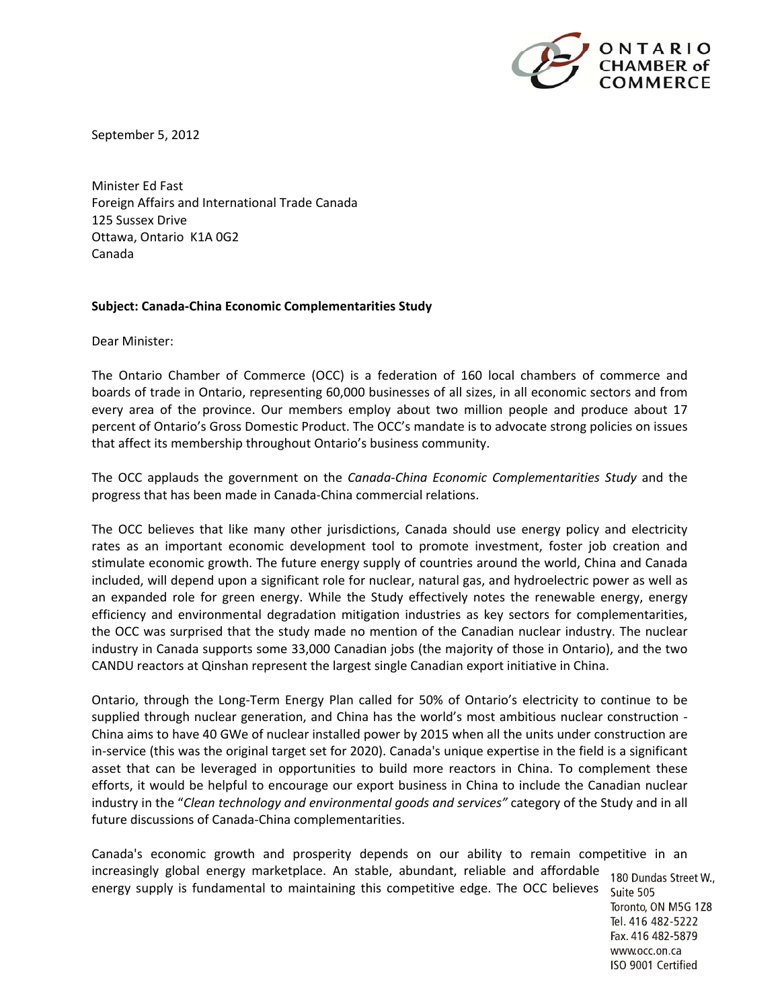

September 5, 2012

Minister Ed Fast Foreign Affairs and International Trade Canada 125 Sussex Drive Ottawa, Ontario K1A 0G2 Canada

## **Subject: Canada‐China Economic Complementarities Study**

Dear Minister:

The Ontario Chamber of Commerce (OCC) is a federation of 160 local chambers of commerce and boards of trade in Ontario, representing 60,000 businesses of all sizes, in all economic sectors and from every area of the province. Our members employ about two million people and produce about 17 percent of Ontario's Gross Domestic Product. The OCC's mandate is to advocate strong policies on issues that affect its membership throughout Ontario's business community.

The OCC applauds the government on the *Canada‐China Economic Complementarities Study* and the progress that has been made in Canada‐China commercial relations.

The OCC believes that like many other jurisdictions, Canada should use energy policy and electricity rates as an important economic development tool to promote investment, foster job creation and stimulate economic growth. The future energy supply of countries around the world, China and Canada included, will depend upon a significant role for nuclear, natural gas, and hydroelectric power as well as an expanded role for green energy. While the Study effectively notes the renewable energy, energy efficiency and environmental degradation mitigation industries as key sectors for complementarities, the OCC was surprised that the study made no mention of the Canadian nuclear industry. The nuclear industry in Canada supports some 33,000 Canadian jobs (the majority of those in Ontario), and the two CANDU reactors at Qinshan represent the largest single Canadian export initiative in China.

Ontario, through the Long‐Term Energy Plan called for 50% of Ontario's electricity to continue to be supplied through nuclear generation, and China has the world's most ambitious nuclear construction ‐ China aims to have 40 GWe of nuclear installed power by 2015 when all the units under construction are in‐service (this was the original target set for 2020). Canada's unique expertise in the field is a significant asset that can be leveraged in opportunities to build more reactors in China. To complement these efforts, it would be helpful to encourage our export business in China to include the Canadian nuclear industry in the "*Clean technology and environmental goods and services"* category of the Study and in all future discussions of Canada‐China complementarities.

Canada's economic growth and prosperity depends on our ability to remain competitive in an increasingly global energy marketplace. An stable, abundant, reliable and affordable 180 Dundas Street W., energy supply is fundamental to maintaining this competitive edge. The OCC believesSuite 505

Toronto, ON M5G 1Z8 Tel. 416 482-5222 Fax. 416 482-5879 www.occ.on.ca ISO 9001 Certified